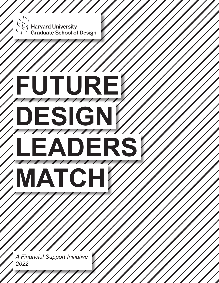

*A Financial Support Initiative 2022*